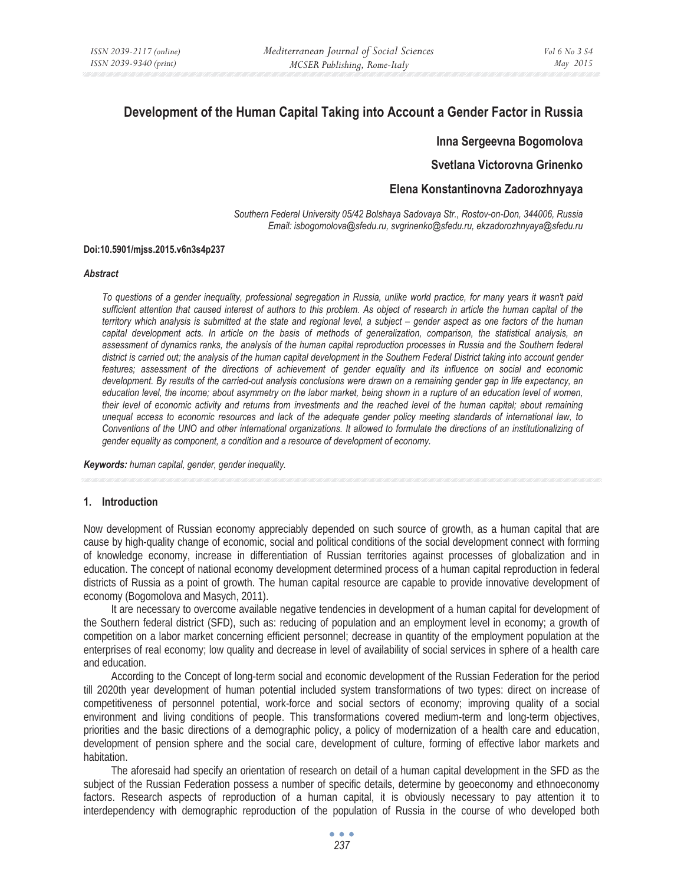# **Development of the Human Capital Taking into Account a Gender Factor in Russia**

**Inna Sergeevna Bogomolova** 

**Svetlana Victorovna Grinenko** 

## **Elena Konstantinovna Zadorozhnyaya**

*Southern Federal University 05/42 Bolshaya Sadovaya Str., Rostov-on-Don, 344006, Russia Email: isbogomolova@sfedu.ru, svgrinenko@sfedu.ru, ekzadorozhnyaya@sfedu.ru* 

### **Doi:10.5901/mjss.2015.v6n3s4p237**

### *Abstract*

*To questions of a gender inequality, professional segregation in Russia, unlike world practice, for many years it wasn't paid sufficient attention that caused interest of authors to this problem. As object of research in article the human capital of the territory which analysis is submitted at the state and regional level, a subject – gender aspect as one factors of the human capital development acts. In article on the basis of methods of generalization, comparison, the statistical analysis, an assessment of dynamics ranks, the analysis of the human capital reproduction processes in Russia and the Southern federal*  district is carried out; the analysis of the human capital development in the Southern Federal District taking into account gender *features; assessment of the directions of achievement of gender equality and its influence on social and economic*  development. By results of the carried-out analysis conclusions were drawn on a remaining gender gap in life expectancy, an education level, the income; about asymmetry on the labor market, being shown in a rupture of an education level of women, *their level of economic activity and returns from investments and the reached level of the human capital; about remaining unequal access to economic resources and lack of the adequate gender policy meeting standards of international law, to Conventions of the UNO and other international organizations. It allowed to formulate the directions of an institutionalizing of gender equality as component, a condition and a resource of development of economy.* 

*Keywords: human capital, gender, gender inequality.*

## **1. Introduction**

Now development of Russian economy appreciably depended on such source of growth, as a human capital that are cause by high-quality change of economic, social and political conditions of the social development connect with forming of knowledge economy, increase in differentiation of Russian territories against processes of globalization and in education. The concept of national economy development determined process of a human capital reproduction in federal districts of Russia as a point of growth. The human capital resource are capable to provide innovative development of economy (Bogomolova and Masych, 2011).

It are necessary to overcome available negative tendencies in development of a human capital for development of the Southern federal district (SFD), such as: reducing of population and an employment level in economy; a growth of competition on a labor market concerning efficient personnel; decrease in quantity of the employment population at the enterprises of real economy; low quality and decrease in level of availability of social services in sphere of a health care and education.

According to the Concept of long-term social and economic development of the Russian Federation for the period till 2020th year development of human potential included system transformations of two types: direct on increase of competitiveness of personnel potential, work-force and social sectors of economy; improving quality of a social environment and living conditions of people. This transformations covered medium-term and long-term objectives, priorities and the basic directions of a demographic policy, a policy of modernization of a health care and education, development of pension sphere and the social care, development of culture, forming of effective labor markets and habitation.

The aforesaid had specify an orientation of research on detail of a human capital development in the SFD as the subject of the Russian Federation possess a number of specific details, determine by geoeconomy and ethnoeconomy factors. Research aspects of reproduction of a human capital, it is obviously necessary to pay attention it to interdependency with demographic reproduction of the population of Russia in the course of who developed both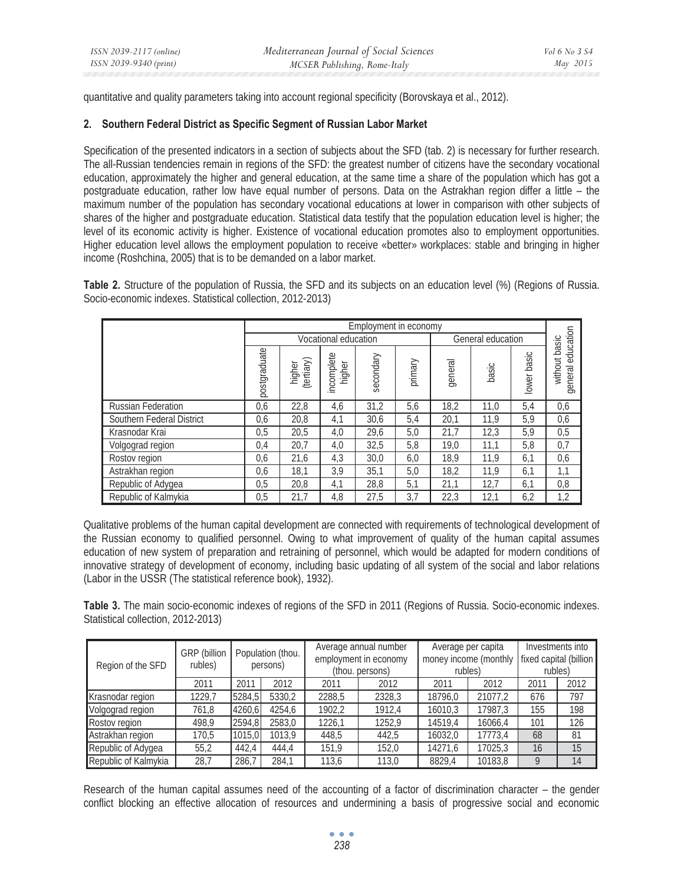quantitative and quality parameters taking into account regional specificity (Borovskaya et al., 2012).

## **2. Southern Federal District as Specific Segment of Russian Labor Market**

Specification of the presented indicators in a section of subjects about the SFD (tab. 2) is necessary for further research. The all-Russian tendencies remain in regions of the SFD: the greatest number of citizens have the secondary vocational education, approximately the higher and general education, at the same time a share of the population which has got a postgraduate education, rather low have equal number of persons. Data on the Astrakhan region differ a little – the maximum number of the population has secondary vocational educations at lower in comparison with other subjects of shares of the higher and postgraduate education. Statistical data testify that the population education level is higher; the level of its economic activity is higher. Existence of vocational education promotes also to employment opportunities. Higher education level allows the employment population to receive «better» workplaces: stable and bringing in higher income (Roshchina, 2005) that is to be demanded on a labor market.

**Table 2.** Structure of the population of Russia, the SFD and its subjects on an education level (%) (Regions of Russia. Socio-economic indexes. Statistical collection, 2012-2013)

|                           | Employment in economy |                      |                      |           |                   |         |       |             |                                            |
|---------------------------|-----------------------|----------------------|----------------------|-----------|-------------------|---------|-------|-------------|--------------------------------------------|
|                           | Vocational education  |                      |                      |           | General education |         |       |             |                                            |
|                           | postgraduate          | higher<br>(tertiary) | incomplete<br>higher | secondary | primary           | general | basic | lower basic | education<br>basic<br>without I<br>general |
| <b>Russian Federation</b> | 0,6                   | 22,8                 | 4,6                  | 31,2      | 5,6               | 18,2    | 11,0  | 5,4         | 0,6                                        |
| Southern Federal District | 0,6                   | 20,8                 | 4,1                  | 30,6      | 5,4               | 20,1    | 11,9  | 5,9         | 0,6                                        |
| Krasnodar Krai            | 0,5                   | 20,5                 | 4,0                  | 29,6      | 5,0               | 21,7    | 12,3  | 5,9         | 0,5                                        |
| Volgograd region          | 0,4                   | 20,7                 | 4,0                  | 32,5      | 5,8               | 19,0    | 11,1  | 5,8         | 0,7                                        |
| Rostov region             | 0,6                   | 21,6                 | 4,3                  | 30,0      | 6,0               | 18,9    | 11.9  | 6,1         | 0,6                                        |
| Astrakhan region          | 0,6                   | 18,1                 | 3,9                  | 35.1      | 5,0               | 18,2    | 11.9  | 6,1         | 1,1                                        |
| Republic of Adygea        | 0,5                   | 20,8                 | 4,1                  | 28,8      | 5,1               | 21,1    | 12,7  | 6,1         | 0,8                                        |
| Republic of Kalmykia      | 0,5                   | 21.7                 | 4,8                  | 27.5      | 3,7               | 22,3    | 12,1  | 6,2         | 1,2                                        |

Qualitative problems of the human capital development are connected with requirements of technological development of the Russian economy to qualified personnel. Owing to what improvement of quality of the human capital assumes education of new system of preparation and retraining of personnel, which would be adapted for modern conditions of innovative strategy of development of economy, including basic updating of all system of the social and labor relations (Labor in the USSR (The statistical reference book), 1932).

**Table 3.** The main socio-economic indexes of regions of the SFD in 2011 (Regions of Russia. Socio-economic indexes. Statistical collection, 2012-2013)

| GRP (billion<br>rubles)<br>Region of the SFD |        | Population (thou.<br>persons) |        |        | Average annual number<br>employment in economy<br>(thou. persons) | rubles) | Average per capita<br>money income (monthly | Investments into<br>fixed capital (billion<br>rubles) |      |
|----------------------------------------------|--------|-------------------------------|--------|--------|-------------------------------------------------------------------|---------|---------------------------------------------|-------------------------------------------------------|------|
|                                              | 2011   | 2011                          | 2012   | 2011   | 2012                                                              | 2011    | 2012                                        | 2011                                                  | 2012 |
| Krasnodar region                             | 1229,7 | 5284,5                        | 5330,2 | 2288,5 | 2328,3                                                            | 18796,0 | 21077,2                                     | 676                                                   | 797  |
| Volgograd region                             | 761,8  | 4260,6                        | 4254,6 | 1902,2 | 1912,4                                                            | 16010,3 | 17987,3                                     | 155                                                   | 198  |
| Rostov region                                | 498,9  | 2594,8                        | 2583,0 | 1226,1 | 1252,9                                                            | 14519.4 | 16066,4                                     | 101                                                   | 126  |
| Astrakhan region                             | 170,5  | 1015.0                        | 1013.9 | 448,5  | 442,5                                                             | 16032,0 | 17773,4                                     | 68                                                    | 81   |
| Republic of Adygea                           | 55.2   | 442.4                         | 444.4  | 151.9  | 152.0                                                             | 14271.6 | 17025,3                                     | 16                                                    | 15   |
| Republic of Kalmykia                         | 28.7   | 286.7                         | 284.1  | 113,6  | 113,0                                                             | 8829.4  | 10183.8                                     | Q                                                     | 14   |

Research of the human capital assumes need of the accounting of a factor of discrimination character – the gender conflict blocking an effective allocation of resources and undermining a basis of progressive social and economic

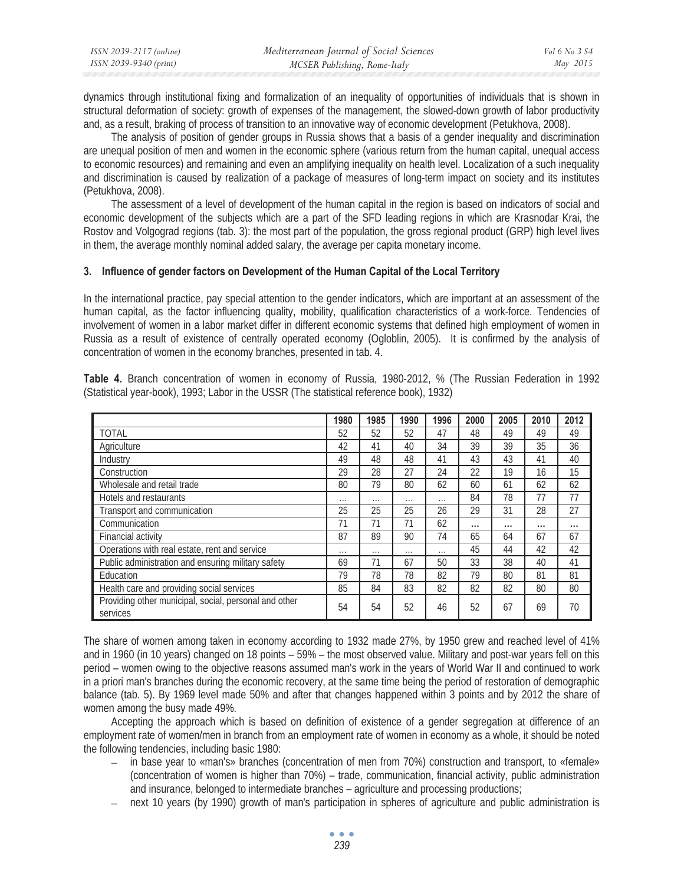| ISSN 2039-2117 (online) | Mediterranean Journal of Social Sciences | Vol 6 No 3 S4 |
|-------------------------|------------------------------------------|---------------|
| ISSN 2039-9340 (print)  | MCSER Publishing, Rome-Italy             | May 2015      |

dynamics through institutional fixing and formalization of an inequality of opportunities of individuals that is shown in structural deformation of society: growth of expenses of the management, the slowed-down growth of labor productivity and, as a result, braking of process of transition to an innovative way of economic development (Petukhova, 2008).

The analysis of position of gender groups in Russia shows that a basis of a gender inequality and discrimination are unequal position of men and women in the economic sphere (various return from the human capital, unequal access to economic resources) and remaining and even an amplifying inequality on health level. Localization of a such inequality and discrimination is caused by realization of a package of measures of long-term impact on society and its institutes (Petukhova, 2008).

The assessment of a level of development of the human capital in the region is based on indicators of social and economic development of the subjects which are a part of the SFD leading regions in which are Krasnodar Krai, the Rostov and Volgograd regions (tab. 3): the most part of the population, the gross regional product (GRP) high level lives in them, the average monthly nominal added salary, the average per capita monetary income.

## **3. Influence of gender factors on Development of the Human Capital of the Local Territory**

In the international practice, pay special attention to the gender indicators, which are important at an assessment of the human capital, as the factor influencing quality, mobility, qualification characteristics of a work-force. Tendencies of involvement of women in a labor market differ in different economic systems that defined high employment of women in Russia as a result of existence of centrally operated economy (Ogloblin, 2005). It is confirmed by the analysis of concentration of women in the economy branches, presented in tab. 4.

|                                                                   | 1980     | 1985     | 1990     | 1996     | 2000     | 2005 | 2010     | 2012 |
|-------------------------------------------------------------------|----------|----------|----------|----------|----------|------|----------|------|
| TOTAL                                                             | 52       | 52       | 52       | 47       | 48       | 49   | 49       | 49   |
| Agriculture                                                       | 42       | 41       | 40       | 34       | 39       | 39   | 35       | 36   |
| Industry                                                          | 49       | 48       | 48       | 41       | 43       | 43   | 41       | 40   |
| Construction                                                      | 29       | 28       | 27       | 24       | 22       | 19   | 16       | 15   |
| Wholesale and retail trade                                        | 80       | 79       | 80       | 62       | 60       | 61   | 62       | 62   |
| Hotels and restaurants                                            | $\cdots$ | $\cdots$ | $\cdots$ | $\cdots$ | 84       | 78   | 77       | 77   |
| Transport and communication                                       | 25       | 25       | 25       | 26       | 29       | 31   | 28       | 27   |
| Communication                                                     | 71       | 71       | 71       | 62       | $\cdots$ |      | $\cdots$ |      |
| <b>Financial activity</b>                                         | 87       | 89       | 90       | 74       | 65       | 64   | 67       | 67   |
| Operations with real estate, rent and service                     | $\cdots$ | $\cdots$ | $\cdots$ | $\cdots$ | 45       | 44   | 42       | 42   |
| Public administration and ensuring military safety                | 69       | 71       | 67       | 50       | 33       | 38   | 40       | 41   |
| Education                                                         | 79       | 78       | 78       | 82       | 79       | 80   | 81       | 81   |
| Health care and providing social services                         | 85       | 84       | 83       | 82       | 82       | 82   | 80       | 80   |
| Providing other municipal, social, personal and other<br>services | 54       | 54       | 52       | 46       | 52       | 67   | 69       | 70   |

**Table 4.** Branch concentration of women in economy of Russia, 1980-2012, % (The Russian Federation in 1992 (Statistical year-book), 1993; Labor in the USSR (The statistical reference book), 1932)

The share of women among taken in economy according to 1932 made 27%, by 1950 grew and reached level of 41% and in 1960 (in 10 years) changed on 18 points – 59% – the most observed value. Military and post-war years fell on this period – women owing to the objective reasons assumed man's work in the years of World War II and continued to work in a priori man's branches during the economic recovery, at the same time being the period of restoration of demographic balance (tab. 5). By 1969 level made 50% and after that changes happened within 3 points and by 2012 the share of women among the busy made 49%.

Accepting the approach which is based on definition of existence of a gender segregation at difference of an employment rate of women/men in branch from an employment rate of women in economy as a whole, it should be noted the following tendencies, including basic 1980:

- in base year to «man's» branches (concentration of men from 70%) construction and transport, to «female» (concentration of women is higher than 70%) – trade, communication, financial activity, public administration and insurance, belonged to intermediate branches – agriculture and processing productions;
- next 10 years (by 1990) growth of man's participation in spheres of agriculture and public administration is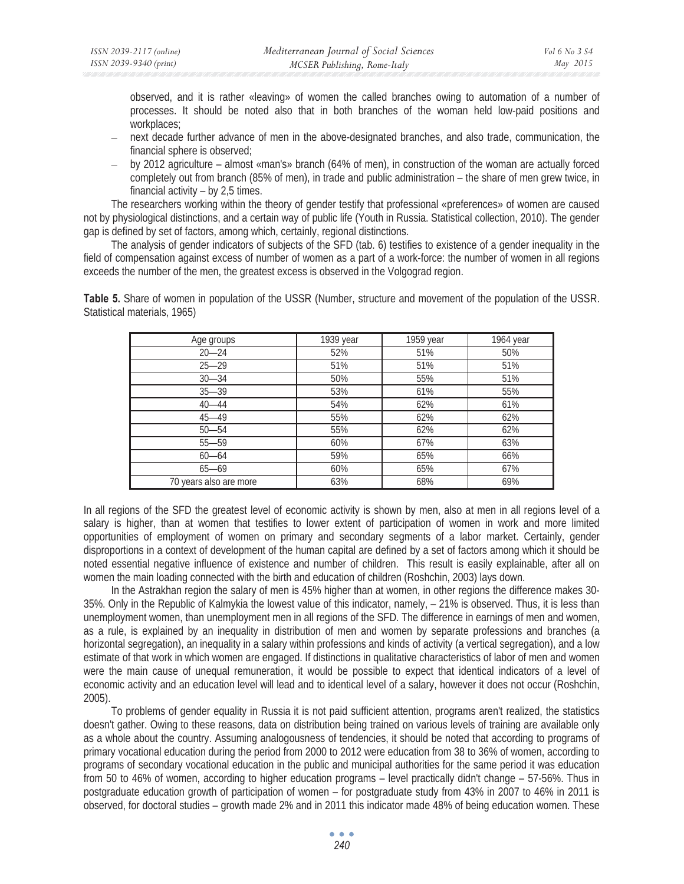observed, and it is rather «leaving» of women the called branches owing to automation of a number of processes. It should be noted also that in both branches of the woman held low-paid positions and workplaces;

- next decade further advance of men in the above-designated branches, and also trade, communication, the financial sphere is observed;
- by 2012 agriculture almost «man's» branch (64% of men), in construction of the woman are actually forced completely out from branch (85% of men), in trade and public administration – the share of men grew twice, in financial activity  $-$  by 2,5 times.

The researchers working within the theory of gender testify that professional «preferences» of women are caused not by physiological distinctions, and a certain way of public life (Youth in Russia. Statistical collection, 2010). The gender gap is defined by set of factors, among which, certainly, regional distinctions.

The analysis of gender indicators of subjects of the SFD (tab. 6) testifies to existence of a gender inequality in the field of compensation against excess of number of women as a part of a work-force: the number of women in all regions exceeds the number of the men, the greatest excess is observed in the Volgograd region.

**Table 5.** Share of women in population of the USSR (Number, structure and movement of the population of the USSR. Statistical materials, 1965)

| Age groups             | 1939 year | 1959 year | 1964 year |
|------------------------|-----------|-----------|-----------|
| $20 - 24$              | 52%       | 51%       | 50%       |
| $25 - 29$              | 51%       | 51%       | 51%       |
| $30 - 34$              | 50%       | 55%       | 51%       |
| $35 - 39$              | 53%       | 61%       | 55%       |
| $40 - 44$              | 54%       | 62%       | 61%       |
| $45 - 49$              | 55%       | 62%       | 62%       |
| $50 - 54$              | 55%       | 62%       | 62%       |
| $55 - 59$              | 60%       | 67%       | 63%       |
| $60 - 64$              | 59%       | 65%       | 66%       |
| $65 - 69$              | 60%       | 65%       | 67%       |
| 70 years also are more | 63%       | 68%       | 69%       |

In all regions of the SFD the greatest level of economic activity is shown by men, also at men in all regions level of a salary is higher, than at women that testifies to lower extent of participation of women in work and more limited opportunities of employment of women on primary and secondary segments of a labor market. Certainly, gender disproportions in a context of development of the human capital are defined by a set of factors among which it should be noted essential negative influence of existence and number of children. This result is easily explainable, after all on women the main loading connected with the birth and education of children (Roshchin, 2003) lays down.

In the Astrakhan region the salary of men is 45% higher than at women, in other regions the difference makes 30- 35%. Only in the Republic of Kalmykia the lowest value of this indicator, namely, – 21% is observed. Thus, it is less than unemployment women, than unemployment men in all regions of the SFD. The difference in earnings of men and women, as a rule, is explained by an inequality in distribution of men and women by separate professions and branches (a horizontal segregation), an inequality in a salary within professions and kinds of activity (a vertical segregation), and a low estimate of that work in which women are engaged. If distinctions in qualitative characteristics of labor of men and women were the main cause of unequal remuneration, it would be possible to expect that identical indicators of a level of economic activity and an education level will lead and to identical level of a salary, however it does not occur (Roshchin, 2005).

To problems of gender equality in Russia it is not paid sufficient attention, programs aren't realized, the statistics doesn't gather. Owing to these reasons, data on distribution being trained on various levels of training are available only as a whole about the country. Assuming analogousness of tendencies, it should be noted that according to programs of primary vocational education during the period from 2000 to 2012 were education from 38 to 36% of women, according to programs of secondary vocational education in the public and municipal authorities for the same period it was education from 50 to 46% of women, according to higher education programs – level practically didn't change – 57-56%. Thus in postgraduate education growth of participation of women – for postgraduate study from 43% in 2007 to 46% in 2011 is observed, for doctoral studies – growth made 2% and in 2011 this indicator made 48% of being education women. These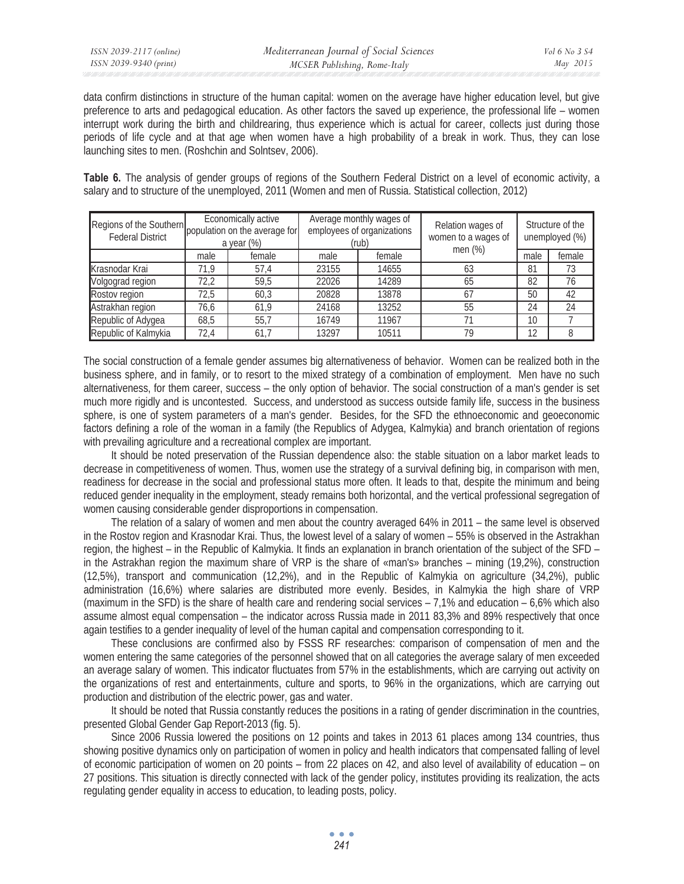data confirm distinctions in structure of the human capital: women on the average have higher education level, but give preference to arts and pedagogical education. As other factors the saved up experience, the professional life – women interrupt work during the birth and childrearing, thus experience which is actual for career, collects just during those periods of life cycle and at that age when women have a high probability of a break in work. Thus, they can lose launching sites to men. (Roshchin and Solntsev, 2006).

**Table 6.** The analysis of gender groups of regions of the Southern Federal District on a level of economic activity, a salary and to structure of the unemployed, 2011 (Women and men of Russia. Statistical collection, 2012)

| Regions of the Southern<br><b>Federal District</b> |      | Economically active<br>population on the average for<br>a year $(\%)$ |       | Average monthly wages of<br>employees of organizations<br>(rub) | Relation wages of<br>women to a wages of | Structure of the<br>unemployed (%) |        |  |
|----------------------------------------------------|------|-----------------------------------------------------------------------|-------|-----------------------------------------------------------------|------------------------------------------|------------------------------------|--------|--|
|                                                    | male | female                                                                | male  | female                                                          | men $(\%)$                               | male                               | female |  |
| Krasnodar Krai                                     | 71.9 | 57.4                                                                  | 23155 | 14655                                                           | 63                                       | 81                                 | 73     |  |
| Volgograd region                                   | 72.2 | 59.5                                                                  | 22026 | 14289                                                           | 65                                       | 82                                 | 76     |  |
| Rostov region                                      | 72.5 | 60.3                                                                  | 20828 | 13878                                                           | 67                                       | 50                                 | 42     |  |
| Astrakhan region                                   | 76.6 | 61,9                                                                  | 24168 | 13252                                                           | 55                                       | 24                                 | 24     |  |
| Republic of Adygea                                 | 68.5 | 55.7                                                                  | 16749 | 11967                                                           |                                          | 10                                 |        |  |
| Republic of Kalmykia                               | 72.4 | 61.7                                                                  | 13297 | 10511                                                           | 79                                       | 12                                 |        |  |

The social construction of a female gender assumes big alternativeness of behavior. Women can be realized both in the business sphere, and in family, or to resort to the mixed strategy of a combination of employment. Men have no such alternativeness, for them career, success – the only option of behavior. The social construction of a man's gender is set much more rigidly and is uncontested. Success, and understood as success outside family life, success in the business sphere, is one of system parameters of a man's gender. Besides, for the SFD the ethnoeconomic and geoeconomic factors defining a role of the woman in a family (the Republics of Adygea, Kalmykia) and branch orientation of regions with prevailing agriculture and a recreational complex are important.

It should be noted preservation of the Russian dependence also: the stable situation on a labor market leads to decrease in competitiveness of women. Thus, women use the strategy of a survival defining big, in comparison with men, readiness for decrease in the social and professional status more often. It leads to that, despite the minimum and being reduced gender inequality in the employment, steady remains both horizontal, and the vertical professional segregation of women causing considerable gender disproportions in compensation.

The relation of a salary of women and men about the country averaged 64% in 2011 – the same level is observed in the Rostov region and Krasnodar Krai. Thus, the lowest level of a salary of women – 55% is observed in the Astrakhan region, the highest – in the Republic of Kalmykia. It finds an explanation in branch orientation of the subject of the SFD – in the Astrakhan region the maximum share of VRP is the share of «man's» branches – mining (19,2%), construction (12,5%), transport and communication (12,2%), and in the Republic of Kalmykia on agriculture (34,2%), public administration (16,6%) where salaries are distributed more evenly. Besides, in Kalmykia the high share of VRP (maximum in the SFD) is the share of health care and rendering social services – 7,1% and education – 6,6% which also assume almost equal compensation – the indicator across Russia made in 2011 83,3% and 89% respectively that once again testifies to a gender inequality of level of the human capital and compensation corresponding to it.

These conclusions are confirmed also by FSSS RF researches: comparison of compensation of men and the women entering the same categories of the personnel showed that on all categories the average salary of men exceeded an average salary of women. This indicator fluctuates from 57% in the establishments, which are carrying out activity on the organizations of rest and entertainments, culture and sports, to 96% in the organizations, which are carrying out production and distribution of the electric power, gas and water.

It should be noted that Russia constantly reduces the positions in a rating of gender discrimination in the countries, presented Global Gender Gap Report-2013 (fig. 5).

Since 2006 Russia lowered the positions on 12 points and takes in 2013 61 places among 134 countries, thus showing positive dynamics only on participation of women in policy and health indicators that compensated falling of level of economic participation of women on 20 points – from 22 places on 42, and also level of availability of education – on 27 positions. This situation is directly connected with lack of the gender policy, institutes providing its realization, the acts regulating gender equality in access to education, to leading posts, policy.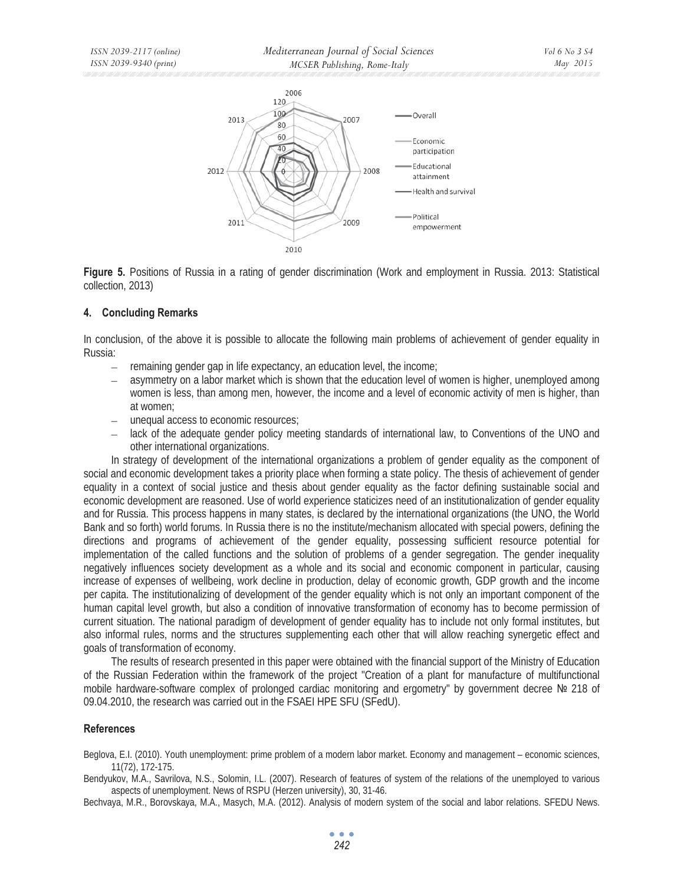

**Figure 5.** Positions of Russia in a rating of gender discrimination (Work and employment in Russia. 2013: Statistical collection, 2013)

## **4. Concluding Remarks**

In conclusion, of the above it is possible to allocate the following main problems of achievement of gender equality in Russia:

- remaining gender gap in life expectancy, an education level, the income;
- asymmetry on a labor market which is shown that the education level of women is higher, unemployed among women is less, than among men, however, the income and a level of economic activity of men is higher, than at women;
- unequal access to economic resources;
- lack of the adequate gender policy meeting standards of international law, to Conventions of the UNO and other international organizations.

In strategy of development of the international organizations a problem of gender equality as the component of social and economic development takes a priority place when forming a state policy. The thesis of achievement of gender equality in a context of social justice and thesis about gender equality as the factor defining sustainable social and economic development are reasoned. Use of world experience staticizes need of an institutionalization of gender equality and for Russia. This process happens in many states, is declared by the international organizations (the UNO, the World Bank and so forth) world forums. In Russia there is no the institute/mechanism allocated with special powers, defining the directions and programs of achievement of the gender equality, possessing sufficient resource potential for implementation of the called functions and the solution of problems of a gender segregation. The gender inequality negatively influences society development as a whole and its social and economic component in particular, causing increase of expenses of wellbeing, work decline in production, delay of economic growth, GDP growth and the income per capita. The institutionalizing of development of the gender equality which is not only an important component of the human capital level growth, but also a condition of innovative transformation of economy has to become permission of current situation. The national paradigm of development of gender equality has to include not only formal institutes, but also informal rules, norms and the structures supplementing each other that will allow reaching synergetic effect and goals of transformation of economy.

The results of research presented in this paper were obtained with the financial support of the Ministry of Education of the Russian Federation within the framework of the project "Creation of a plant for manufacture of multifunctional mobile hardware-software complex of prolonged cardiac monitoring and ergometry" by government decree № 218 of 09.04.2010, the research was carried out in the FSAEI HPE SFU (SFedU).

# **References**

Beglova, E.I. (2010). Youth unemployment: prime problem of a modern labor market. Economy and management – economic sciences, 11(72), 172-175.

Bendyukov, M.A., Savrilova, N.S., Solomin, I.L. (2007). Research of features of system of the relations of the unemployed to various aspects of unemployment. News of RSPU (Herzen university), 30, 31-46.

Bechvaya, M.R., Borovskaya, M.A., Masych, M.A. (2012). Analysis of modern system of the social and labor relations. SFEDU News.